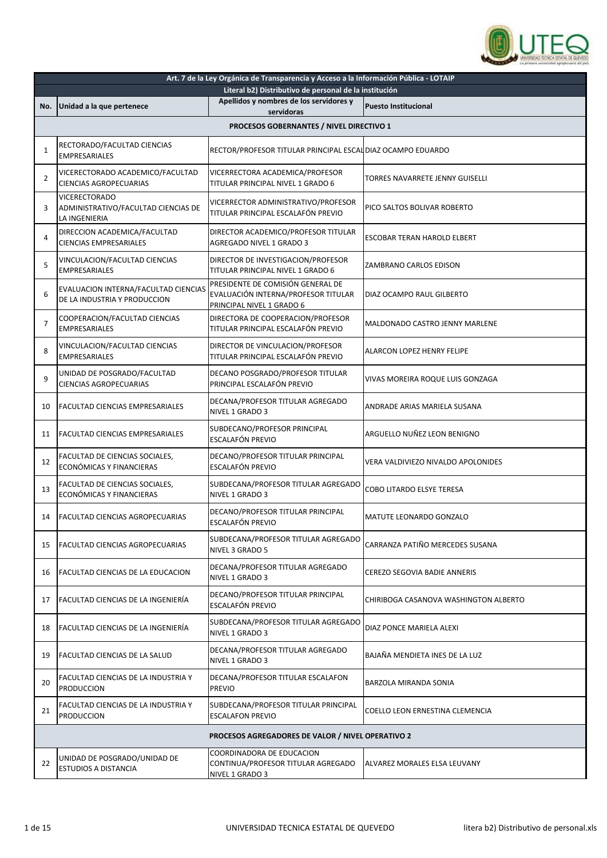

| Unidad a la que pertenece                                                    | Literal b2) Distributivo de personal de la institución<br>Apellidos y nombres de los servidores y     |                                                                    |
|------------------------------------------------------------------------------|-------------------------------------------------------------------------------------------------------|--------------------------------------------------------------------|
|                                                                              |                                                                                                       |                                                                    |
|                                                                              | servidoras                                                                                            | <b>Puesto Institucional</b>                                        |
|                                                                              | PROCESOS GOBERNANTES / NIVEL DIRECTIVO 1                                                              |                                                                    |
| RECTORADO/FACULTAD CIENCIAS<br><b>EMPRESARIALES</b>                          | RECTOR/PROFESOR TITULAR PRINCIPAL ESCAL DIAZ OCAMPO EDUARDO                                           |                                                                    |
| VICERECTORADO ACADEMICO/FACULTAD<br><b>CIENCIAS AGROPECUARIAS</b>            | VICERRECTORA ACADEMICA/PROFESOR<br>TITULAR PRINCIPAL NIVEL 1 GRADO 6                                  | <b>TORRES NAVARRETE JENNY GUISELLI</b>                             |
| <b>VICERECTORADO</b><br>ADMINISTRATIVO/FACULTAD CIENCIAS DE<br>LA INGENIERIA | VICERRECTOR ADMINISTRATIVO/PROFESOR<br>TITULAR PRINCIPAL ESCALAFÓN PREVIO                             | PICO SALTOS BOLIVAR ROBERTO                                        |
| DIRECCION ACADEMICA/FACULTAD<br><b>CIENCIAS EMPRESARIALES</b>                | DIRECTOR ACADEMICO/PROFESOR TITULAR<br>AGREGADO NIVEL 1 GRADO 3                                       | ESCOBAR TERAN HAROLD ELBERT                                        |
| VINCULACION/FACULTAD CIENCIAS<br><b>EMPRESARIALES</b>                        | DIRECTOR DE INVESTIGACION/PROFESOR<br>TITULAR PRINCIPAL NIVEL 1 GRADO 6                               | ZAMBRANO CARLOS EDISON                                             |
| EVALUACION INTERNA/FACULTAD CIENCIAS<br>DE LA INDUSTRIA Y PRODUCCION         | PRESIDENTE DE COMISIÓN GENERAL DE<br>EVALUACIÓN INTERNA/PROFESOR TITULAR<br>PRINCIPAL NIVEL 1 GRADO 6 | DIAZ OCAMPO RAUL GILBERTO                                          |
| COOPERACION/FACULTAD CIENCIAS<br><b>EMPRESARIALES</b>                        | DIRECTORA DE COOPERACION/PROFESOR<br>TITULAR PRINCIPAL ESCALAFÓN PREVIO                               | MALDONADO CASTRO JENNY MARLENE                                     |
| VINCULACION/FACULTAD CIENCIAS<br><b>EMPRESARIALES</b>                        | DIRECTOR DE VINCULACION/PROFESOR<br>TITULAR PRINCIPAL ESCALAFÓN PREVIO                                | ALARCON LOPEZ HENRY FELIPE                                         |
| UNIDAD DE POSGRADO/FACULTAD<br><b>CIENCIAS AGROPECUARIAS</b>                 | DECANO POSGRADO/PROFESOR TITULAR                                                                      | VIVAS MOREIRA ROQUE LUIS GONZAGA                                   |
| FACULTAD CIENCIAS EMPRESARIALES                                              | DECANA/PROFESOR TITULAR AGREGADO<br>NIVEL 1 GRADO 3                                                   | ANDRADE ARIAS MARIELA SUSANA                                       |
| FACULTAD CIENCIAS EMPRESARIALES                                              | SUBDECANO/PROFESOR PRINCIPAL<br><b>ESCALAFÓN PREVIO</b>                                               | ARGUELLO NUÑEZ LEON BENIGNO                                        |
| FACULTAD DE CIENCIAS SOCIALES,<br>ECONÓMICAS Y FINANCIERAS                   | DECANO/PROFESOR TITULAR PRINCIPAL<br>ESCALAFÓN PREVIO                                                 | VERA VALDIVIEZO NIVALDO APOLONIDES                                 |
| FACULTAD DE CIENCIAS SOCIALES,<br>ECONÓMICAS Y FINANCIERAS                   | SUBDECANA/PROFESOR TITULAR AGREGADO<br>NIVEL 1 GRADO 3                                                | COBO LITARDO ELSYE TERESA                                          |
| FACULTAD CIENCIAS AGROPECUARIAS                                              | DECANO/PROFESOR TITULAR PRINCIPAL<br><b>ESCALAFÓN PREVIO</b>                                          | MATUTE LEONARDO GONZALO                                            |
| <b>FACULTAD CIENCIAS AGROPECUARIAS</b>                                       | SUBDECANA/PROFESOR TITULAR AGREGADO<br>NIVEL 3 GRADO 5                                                | CARRANZA PATIÑO MERCEDES SUSANA                                    |
| FACULTAD CIENCIAS DE LA EDUCACION                                            | DECANA/PROFESOR TITULAR AGREGADO<br>NIVEL 1 GRADO 3                                                   | CEREZO SEGOVIA BADIE ANNERIS                                       |
| FACULTAD CIENCIAS DE LA INGENIERÍA                                           | DECANO/PROFESOR TITULAR PRINCIPAL<br>ESCALAFÓN PREVIO                                                 | CHIRIBOGA CASANOVA WASHINGTON ALBERTO                              |
| FACULTAD CIENCIAS DE LA INGENIERÍA                                           | SUBDECANA/PROFESOR TITULAR AGREGADO<br>NIVEL 1 GRADO 3                                                | DIAZ PONCE MARIELA ALEXI                                           |
| FACULTAD CIENCIAS DE LA SALUD                                                | DECANA/PROFESOR TITULAR AGREGADO<br>NIVEL 1 GRADO 3                                                   | BAJAÑA MENDIETA INES DE LA LUZ                                     |
| FACULTAD CIENCIAS DE LA INDUSTRIA Y<br><b>PRODUCCION</b>                     | DECANA/PROFESOR TITULAR ESCALAFON<br><b>PREVIO</b>                                                    | BARZOLA MIRANDA SONIA                                              |
| FACULTAD CIENCIAS DE LA INDUSTRIA Y<br><b>PRODUCCION</b>                     | <b>ESCALAFON PREVIO</b>                                                                               | COELLO LEON ERNESTINA CLEMENCIA                                    |
|                                                                              | PROCESOS AGREGADORES DE VALOR / NIVEL OPERATIVO 2                                                     |                                                                    |
| UNIDAD DE POSGRADO/UNIDAD DE<br>ESTUDIOS A DISTANCIA                         | COORDINADORA DE EDUCACION<br>CONTINUA/PROFESOR TITULAR AGREGADO<br>NIVEL 1 GRADO 3                    | ALVAREZ MORALES ELSA LEUVANY                                       |
|                                                                              |                                                                                                       | PRINCIPAL ESCALAFÓN PREVIO<br>SUBDECANA/PROFESOR TITULAR PRINCIPAL |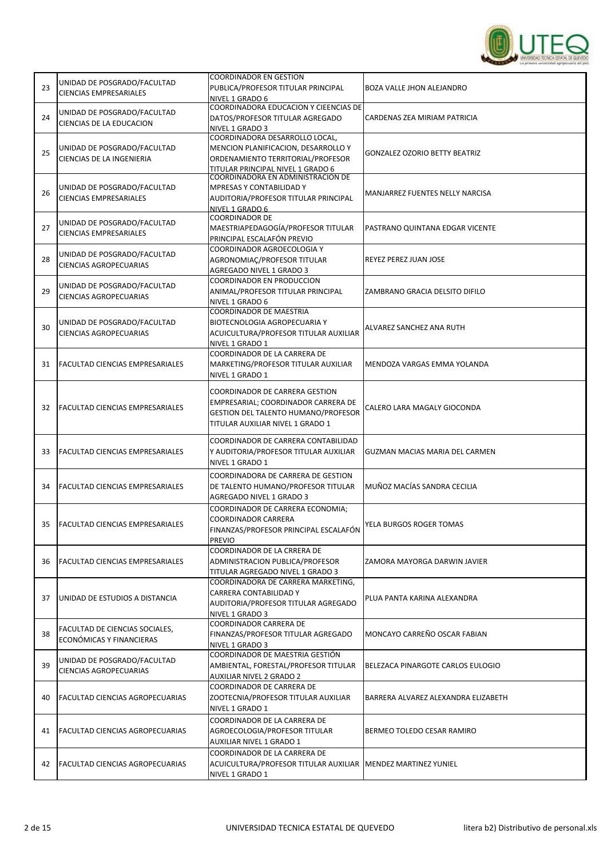

| 23 | UNIDAD DE POSGRADO/FACULTAD<br><b>CIENCIAS EMPRESARIALES</b> | <b>COORDINADOR EN GESTION</b><br>PUBLICA/PROFESOR TITULAR PRINCIPAL<br>NIVEL 1 GRADO 6                                                           | BOZA VALLE JHON ALEJANDRO           |
|----|--------------------------------------------------------------|--------------------------------------------------------------------------------------------------------------------------------------------------|-------------------------------------|
| 24 | UNIDAD DE POSGRADO/FACULTAD<br>CIENCIAS DE LA EDUCACION      | COORDINADORA EDUCACION Y CIEENCIAS DE<br>DATOS/PROFESOR TITULAR AGREGADO<br>NIVEL 1 GRADO 3                                                      | CARDENAS ZEA MIRIAM PATRICIA        |
| 25 | UNIDAD DE POSGRADO/FACULTAD<br>CIENCIAS DE LA INGENIERIA     | COORDINADORA DESARROLLO LOCAL,<br>MENCION PLANIFICACION, DESARROLLO Y<br>ORDENAMIENTO TERRITORIAL/PROFESOR<br>TITULAR PRINCIPAL NIVEL 1 GRADO 6  | GONZALEZ OZORIO BETTY BEATRIZ       |
| 26 | UNIDAD DE POSGRADO/FACULTAD<br><b>CIENCIAS EMPRESARIALES</b> | COORDINADORA EN ADMINISTRACION DE<br>MPRESAS Y CONTABILIDAD Y<br>AUDITORIA/PROFESOR TITULAR PRINCIPAL<br>NIVEL 1 GRADO 6                         | MANJARREZ FUENTES NELLY NARCISA     |
| 27 | UNIDAD DE POSGRADO/FACULTAD<br><b>CIENCIAS EMPRESARIALES</b> | <b>COORDINADOR DE</b><br>MAESTRIAPEDAGOGÍA/PROFESOR TITULAR<br>PRINCIPAL ESCALAFÓN PREVIO                                                        | PASTRANO QUINTANA EDGAR VICENTE     |
| 28 | UNIDAD DE POSGRADO/FACULTAD<br><b>CIENCIAS AGROPECUARIAS</b> | COORDINADOR AGROECOLOGIA Y<br>AGRONOMIAC/PROFESOR TITULAR<br>AGREGADO NIVEL 1 GRADO 3                                                            | REYEZ PEREZ JUAN JOSE               |
| 29 | UNIDAD DE POSGRADO/FACULTAD<br><b>CIENCIAS AGROPECUARIAS</b> | <b>COORDINADOR EN PRODUCCION</b><br>ANIMAL/PROFESOR TITULAR PRINCIPAL<br>NIVEL 1 GRADO 6                                                         | ZAMBRANO GRACIA DELSITO DIFILO      |
| 30 | UNIDAD DE POSGRADO/FACULTAD<br><b>CIENCIAS AGROPECUARIAS</b> | <b>COORDINADOR DE MAESTRIA</b><br>BIOTECNOLOGIA AGROPECUARIA Y<br>ACUICULTURA/PROFESOR TITULAR AUXILIAR<br>NIVEL 1 GRADO 1                       | ALVAREZ SANCHEZ ANA RUTH            |
| 31 | FACULTAD CIENCIAS EMPRESARIALES                              | COORDINADOR DE LA CARRERA DE<br>MARKETING/PROFESOR TITULAR AUXILIAR<br>NIVEL 1 GRADO 1                                                           | MENDOZA VARGAS EMMA YOLANDA         |
| 32 | FACULTAD CIENCIAS EMPRESARIALES                              | COORDINADOR DE CARRERA GESTION<br>EMPRESARIAL; COORDINADOR CARRERA DE<br>GESTION DEL TALENTO HUMANO/PROFESOR<br>TITULAR AUXILIAR NIVEL 1 GRADO 1 | CALERO LARA MAGALY GIOCONDA         |
| 33 | <b>FACULTAD CIENCIAS EMPRESARIALES</b>                       | COORDINADOR DE CARRERA CONTABILIDAD<br>Y AUDITORIA/PROFESOR TITULAR AUXILIAR<br>NIVEL 1 GRADO 1                                                  | GUZMAN MACIAS MARIA DEL CARMEN      |
| 34 | <b>FACULTAD CIENCIAS EMPRESARIALES</b>                       | COORDINADORA DE CARRERA DE GESTION<br>DE TALENTO HUMANO/PROFESOR TITULAR<br>AGREGADO NIVEL 1 GRADO 3                                             | MUÑOZ MACÍAS SANDRA CECILIA         |
| 35 | <b>FACULTAD CIENCIAS EMPRESARIALES</b>                       | COORDINADOR DE CARRERA ECONOMIA;<br><b>COORDINADOR CARRERA</b><br>FINANZAS/PROFESOR PRINCIPAL ESCALAFÓN<br><b>PREVIO</b>                         | YELA BURGOS ROGER TOMAS             |
| 36 | <b>FACULTAD CIENCIAS EMPRESARIALES</b>                       | COORDINADOR DE LA CRRERA DE<br>ADMINISTRACION PUBLICA/PROFESOR<br>TITULAR AGREGADO NIVEL 1 GRADO 3                                               | ZAMORA MAYORGA DARWIN JAVIER        |
| 37 | UNIDAD DE ESTUDIOS A DISTANCIA                               | COORDINADORA DE CARRERA MARKETING,<br>CARRERA CONTABILIDAD Y<br>AUDITORIA/PROFESOR TITULAR AGREGADO<br>NIVEL 1 GRADO 3                           | PLUA PANTA KARINA ALEXANDRA         |
| 38 | FACULTAD DE CIENCIAS SOCIALES,<br>ECONÓMICAS Y FINANCIERAS   | COORDINADOR CARRERA DE<br>FINANZAS/PROFESOR TITULAR AGREGADO<br>NIVEL 1 GRADO 3                                                                  | MONCAYO CARREÑO OSCAR FABIAN        |
| 39 | UNIDAD DE POSGRADO/FACULTAD<br><b>CIENCIAS AGROPECUARIAS</b> | COORDINADOR DE MAESTRIA GESTIÓN<br>AMBIENTAL, FORESTAL/PROFESOR TITULAR<br><b>AUXILIAR NIVEL 2 GRADO 2</b>                                       | BELEZACA PINARGOTE CARLOS EULOGIO   |
| 40 | FACULTAD CIENCIAS AGROPECUARIAS                              | COORDINADOR DE CARRERA DE<br>ZOOTECNIA/PROFESOR TITULAR AUXILIAR<br>NIVEL 1 GRADO 1                                                              | BARRERA ALVAREZ ALEXANDRA ELIZABETH |
| 41 | <b>FACULTAD CIENCIAS AGROPECUARIAS</b>                       | COORDINADOR DE LA CARRERA DE<br>AGROECOLOGIA/PROFESOR TITULAR<br>AUXILIAR NIVEL 1 GRADO 1                                                        | BERMEO TOLEDO CESAR RAMIRO          |
| 42 | <b>FACULTAD CIENCIAS AGROPECUARIAS</b>                       | COORDINADOR DE LA CARRERA DE<br>ACUICULTURA/PROFESOR TITULAR AUXILIAR   MENDEZ MARTINEZ YUNIEL<br>NIVEL 1 GRADO 1                                |                                     |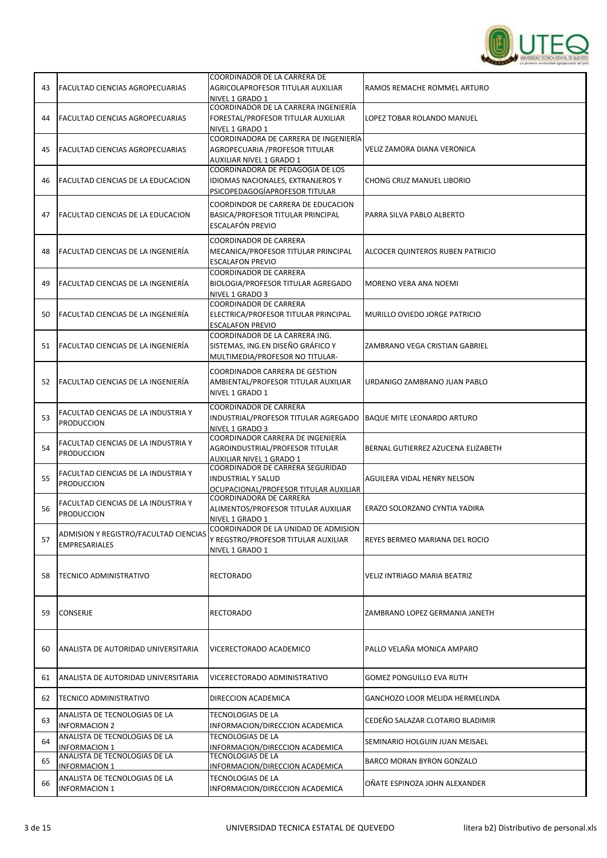

| 43 | FACULTAD CIENCIAS AGROPECUARIAS                               | COORDINADOR DE LA CARRERA DE<br>AGRICOLAPROFESOR TITULAR AUXILIAR<br>NIVEL 1 GRADO 1                    | RAMOS REMACHE ROMMEL ARTURO        |
|----|---------------------------------------------------------------|---------------------------------------------------------------------------------------------------------|------------------------------------|
| 44 | FACULTAD CIENCIAS AGROPECUARIAS                               | COORDINADOR DE LA CARRERA INGENIERÍA<br>FORESTAL/PROFESOR TITULAR AUXILIAR<br>NIVEL 1 GRADO 1           | LOPEZ TOBAR ROLANDO MANUEL         |
| 45 | FACULTAD CIENCIAS AGROPECUARIAS                               | COORDINADORA DE CARRERA DE INGENIERÍA<br>AGROPECUARIA / PROFESOR TITULAR<br>AUXILIAR NIVEL 1 GRADO 1    | VELIZ ZAMORA DIANA VERONICA        |
| 46 | FACULTAD CIENCIAS DE LA EDUCACION                             | COORDINADORA DE PEDAGOGIA DE LOS<br>IDIOMAS NACIONALES, EXTRANJEROS Y<br>PSICOPEDAGOGÍAPROFESOR TITULAR | <b>CHONG CRUZ MANUEL LIBORIO</b>   |
| 47 | <b>FACULTAD CIENCIAS DE LA EDUCACION</b>                      | COORDINDOR DE CARRERA DE EDUCACION<br>BASICA/PROFESOR TITULAR PRINCIPAL<br>ESCALAFÓN PREVIO             | PARRA SILVA PABLO ALBERTO          |
| 48 | <b>FACULTAD CIENCIAS DE LA INGENIERÍA</b>                     | COORDINADOR DE CARRERA<br>MECANICA/PROFESOR TITULAR PRINCIPAL<br><b>ESCALAFON PREVIO</b>                | ALCOCER QUINTEROS RUBEN PATRICIO   |
| 49 | FACULTAD CIENCIAS DE LA INGENIERÍA                            | <b>COORDINADOR DE CARRERA</b><br>BIOLOGIA/PROFESOR TITULAR AGREGADO<br>NIVEL 1 GRADO 3                  | MORENO VERA ANA NOEMI              |
| 50 | FACULTAD CIENCIAS DE LA INGENIERÍA                            | <b>COORDINADOR DE CARRERA</b><br>ELECTRICA/PROFESOR TITULAR PRINCIPAL<br><b>ESCALAFON PREVIO</b>        | MURILLO OVIEDO JORGE PATRICIO      |
| 51 | FACULTAD CIENCIAS DE LA INGENIERÍA                            | COORDINADOR DE LA CARRERA ING.<br>SISTEMAS, ING.EN DISEÑO GRÁFICO Y<br>MULTIMEDIA/PROFESOR NO TITULAR-  | ZAMBRANO VEGA CRISTIAN GABRIEL     |
| 52 | lFACULTAD CIENCIAS DE LA INGENIERÍA                           | COORDINADOR CARRERA DE GESTION<br>AMBIENTAL/PROFESOR TITULAR AUXILIAR<br>NIVEL 1 GRADO 1                | URDANIGO ZAMBRANO JUAN PABLO       |
| 53 | FACULTAD CIENCIAS DE LA INDUSTRIA Y<br><b>PRODUCCION</b>      | <b>COORDINADOR DE CARRERA</b><br>INDUSTRIAL/PROFESOR TITULAR AGREGADO<br>NIVEL 1 GRADO 3                | <b>BAQUE MITE LEONARDO ARTURO</b>  |
| 54 | FACULTAD CIENCIAS DE LA INDUSTRIA Y<br><b>PRODUCCION</b>      | COORDINADOR CARRERA DE INGENIERÍA<br>AGROINDUSTRIAL/PROFESOR TITULAR<br>AUXILIAR NIVEL 1 GRADO 1        | BERNAL GUTIERREZ AZUCENA ELIZABETH |
| 55 | FACULTAD CIENCIAS DE LA INDUSTRIA Y<br><b>PRODUCCION</b>      | COORDINADOR DE CARRERA SEGURIDAD<br><b>INDUSTRIAL Y SALUD</b><br>OCUPACIONAL/PROFESOR TITULAR AUXILIAR  | AGUILERA VIDAL HENRY NELSON        |
| 56 | FACULTAD CIENCIAS DE LA INDUSTRIA Y<br><b>PRODUCCION</b>      | COORDINADORA DE CARRERA<br>ALIMENTOS/PROFESOR TITULAR AUXILIAR<br>NIVEL 1 GRADO 1                       | ERAZO SOLORZANO CYNTIA YADIRA      |
| 57 | ADMISION Y REGISTRO/FACULTAD CIENCIAS<br><b>EMPRESARIALES</b> | COORDINADOR DE LA UNIDAD DE ADMISION<br>Y REGSTRO/PROFESOR TITULAR AUXILIAR<br>NIVEL 1 GRADO 1          | REYES BERMEO MARIANA DEL ROCIO     |
| 58 | <b>TECNICO ADMINISTRATIVO</b>                                 | <b>RECTORADO</b>                                                                                        | VELIZ INTRIAGO MARIA BEATRIZ       |
| 59 | <b>CONSERJE</b>                                               | <b>RECTORADO</b>                                                                                        | ZAMBRANO LOPEZ GERMANIA JANETH     |
| 60 | ANALISTA DE AUTORIDAD UNIVERSITARIA                           | VICERECTORADO ACADEMICO                                                                                 | PALLO VELAÑA MONICA AMPARO         |
| 61 | ANALISTA DE AUTORIDAD UNIVERSITARIA                           | VICERECTORADO ADMINISTRATIVO                                                                            | GOMEZ PONGUILLO EVA RUTH           |
| 62 | <b>TECNICO ADMINISTRATIVO</b>                                 | DIRECCION ACADEMICA                                                                                     | GANCHOZO LOOR MELIDA HERMELINDA    |
| 63 | ANALISTA DE TECNOLOGIAS DE LA<br><b>INFORMACION 2</b>         | <b>TECNOLOGIAS DE LA</b><br>INFORMACION/DIRECCION ACADEMICA                                             | CEDEÑO SALAZAR CLOTARIO BLADIMIR   |
| 64 | ANALISTA DE TECNOLOGIAS DE LA<br><b>INFORMACION 1</b>         | <b>TECNOLOGIAS DE LA</b><br>INFORMACION/DIRECCION ACADEMICA                                             | SEMINARIO HOLGUIN JUAN MEISAEL     |
| 65 | ANALISTA DE TECNOLOGIAS DE LA<br><b>INFORMACION 1</b>         | <b>TECNOLOGIAS DE LA</b><br>INFORMACION/DIRECCION ACADEMICA                                             | BARCO MORAN BYRON GONZALO          |
| 66 | ANALISTA DE TECNOLOGIAS DE LA<br><b>INFORMACION 1</b>         | <b>TECNOLOGIAS DE LA</b><br>INFORMACION/DIRECCION ACADEMICA                                             | OÑATE ESPINOZA JOHN ALEXANDER      |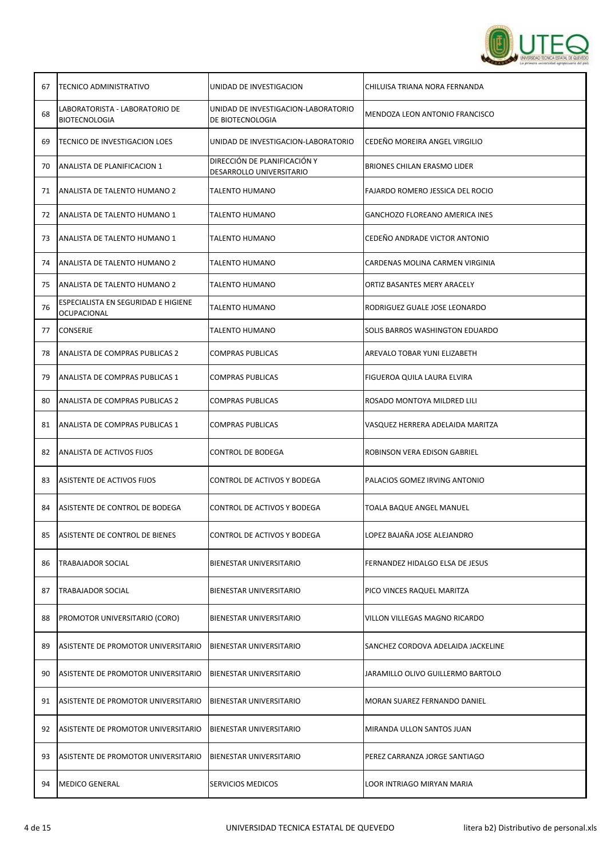

| 67 | TECNICO ADMINISTRATIVO                                 | UNIDAD DE INVESTIGACION                                  | CHILUISA TRIANA NORA FERNANDA         |
|----|--------------------------------------------------------|----------------------------------------------------------|---------------------------------------|
| 68 | LABORATORISTA - LABORATORIO DE<br><b>BIOTECNOLOGIA</b> | UNIDAD DE INVESTIGACION-LABORATORIO<br>DE BIOTECNOLOGIA  | MENDOZA LEON ANTONIO FRANCISCO        |
| 69 | <b>TECNICO DE INVESTIGACION LOES</b>                   | UNIDAD DE INVESTIGACION-LABORATORIO                      | CEDEÑO MOREIRA ANGEL VIRGILIO         |
| 70 | ANALISTA DE PLANIFICACION 1                            | DIRECCIÓN DE PLANIFICACIÓN Y<br>DESARROLLO UNIVERSITARIO | <b>BRIONES CHILAN ERASMO LIDER</b>    |
| 71 | ANALISTA DE TALENTO HUMANO 2                           | <b>TALENTO HUMANO</b>                                    | FAJARDO ROMERO JESSICA DEL ROCIO      |
| 72 | <b>ANALISTA DE TALENTO HUMANO 1</b>                    | <b>TALENTO HUMANO</b>                                    | <b>GANCHOZO FLOREANO AMERICA INES</b> |
| 73 | ANALISTA DE TALENTO HUMANO 1                           | <b>TALENTO HUMANO</b>                                    | CEDEÑO ANDRADE VICTOR ANTONIO         |
| 74 | ANALISTA DE TALENTO HUMANO 2                           | <b>TALENTO HUMANO</b>                                    | CARDENAS MOLINA CARMEN VIRGINIA       |
| 75 | ANALISTA DE TALENTO HUMANO 2                           | TALENTO HUMANO                                           | ORTIZ BASANTES MERY ARACELY           |
| 76 | ESPECIALISTA EN SEGURIDAD E HIGIENE<br>OCUPACIONAL     | <b>TALENTO HUMANO</b>                                    | RODRIGUEZ GUALE JOSE LEONARDO         |
| 77 | <b>CONSERJE</b>                                        | <b>TALENTO HUMANO</b>                                    | SOLIS BARROS WASHINGTON EDUARDO       |
| 78 | ANALISTA DE COMPRAS PUBLICAS 2                         | <b>COMPRAS PUBLICAS</b>                                  | AREVALO TOBAR YUNI ELIZABETH          |
| 79 | ANALISTA DE COMPRAS PUBLICAS 1                         | <b>COMPRAS PUBLICAS</b>                                  | FIGUEROA QUILA LAURA ELVIRA           |
| 80 | ANALISTA DE COMPRAS PUBLICAS 2                         | <b>COMPRAS PUBLICAS</b>                                  | ROSADO MONTOYA MILDRED LILI           |
| 81 | ANALISTA DE COMPRAS PUBLICAS 1                         | <b>COMPRAS PUBLICAS</b>                                  | VASQUEZ HERRERA ADELAIDA MARITZA      |
| 82 | ANALISTA DE ACTIVOS FIJOS                              | <b>CONTROL DE BODEGA</b>                                 | ROBINSON VERA EDISON GABRIEL          |
| 83 | ASISTENTE DE ACTIVOS FIJOS                             | CONTROL DE ACTIVOS Y BODEGA                              | PALACIOS GOMEZ IRVING ANTONIO         |
| 84 | ASISTENTE DE CONTROL DE BODEGA                         | CONTROL DE ACTIVOS Y BODEGA                              | TOALA BAQUE ANGEL MANUEL              |
| 85 | ASISTENTE DE CONTROL DE BIENES                         | CONTROL DE ACTIVOS Y BODEGA                              | LOPEZ BAJAÑA JOSE ALEJANDRO           |
| 86 | <b>TRABAJADOR SOCIAL</b>                               | BIENESTAR UNIVERSITARIO                                  | FERNANDEZ HIDALGO ELSA DE JESUS       |
| 87 | <b>TRABAJADOR SOCIAL</b>                               | BIENESTAR UNIVERSITARIO                                  | PICO VINCES RAQUEL MARITZA            |
| 88 | PROMOTOR UNIVERSITARIO (CORO)                          | BIENESTAR UNIVERSITARIO                                  | VILLON VILLEGAS MAGNO RICARDO         |
| 89 | ASISTENTE DE PROMOTOR UNIVERSITARIO                    | BIENESTAR UNIVERSITARIO                                  | SANCHEZ CORDOVA ADELAIDA JACKELINE    |
| 90 | ASISTENTE DE PROMOTOR UNIVERSITARIO                    | BIENESTAR UNIVERSITARIO                                  | JARAMILLO OLIVO GUILLERMO BARTOLO     |
| 91 | ASISTENTE DE PROMOTOR UNIVERSITARIO                    | <b>BIENESTAR UNIVERSITARIO</b>                           | MORAN SUAREZ FERNANDO DANIEL          |
| 92 | ASISTENTE DE PROMOTOR UNIVERSITARIO                    | BIENESTAR UNIVERSITARIO                                  | MIRANDA ULLON SANTOS JUAN             |
| 93 | ASISTENTE DE PROMOTOR UNIVERSITARIO                    | BIENESTAR UNIVERSITARIO                                  | PEREZ CARRANZA JORGE SANTIAGO         |
| 94 | <b>MEDICO GENERAL</b>                                  | SERVICIOS MEDICOS                                        | LOOR INTRIAGO MIRYAN MARIA            |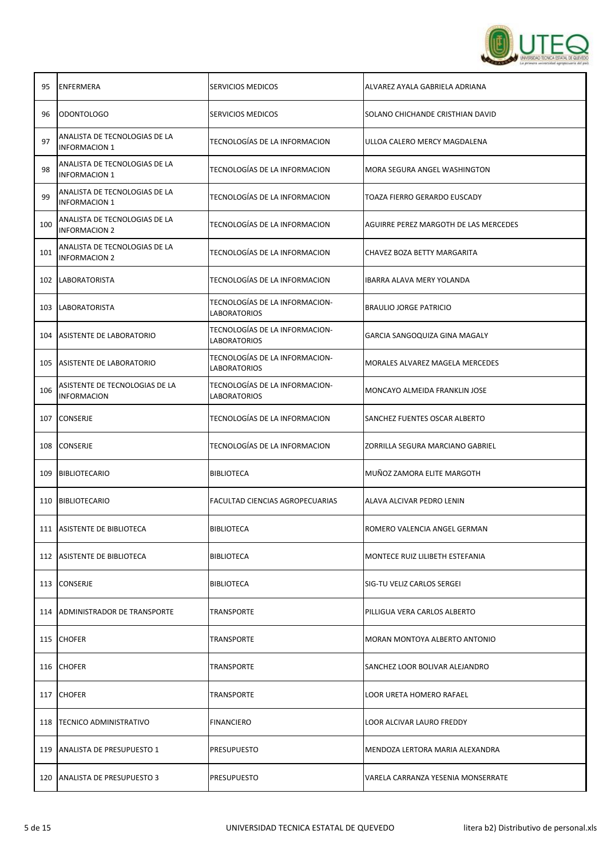

| 95  | <b>ENFERMERA</b>                                      | <b>SERVICIOS MEDICOS</b>                       | ALVAREZ AYALA GABRIELA ADRIANA        |
|-----|-------------------------------------------------------|------------------------------------------------|---------------------------------------|
| 96  | ODONTOLOGO                                            | <b>SERVICIOS MEDICOS</b>                       | SOLANO CHICHANDE CRISTHIAN DAVID      |
| 97  | ANALISTA DE TECNOLOGIAS DE LA<br><b>INFORMACION 1</b> | TECNOLOGÍAS DE LA INFORMACION                  | ULLOA CALERO MERCY MAGDALENA          |
| 98  | ANALISTA DE TECNOLOGIAS DE LA<br><b>INFORMACION 1</b> | TECNOLOGÍAS DE LA INFORMACION                  | MORA SEGURA ANGEL WASHINGTON          |
| 99  | ANALISTA DE TECNOLOGIAS DE LA<br><b>INFORMACION 1</b> | TECNOLOGÍAS DE LA INFORMACION                  | TOAZA FIERRO GERARDO EUSCADY          |
| 100 | ANALISTA DE TECNOLOGIAS DE LA<br><b>INFORMACION 2</b> | TECNOLOGÍAS DE LA INFORMACION                  | AGUIRRE PEREZ MARGOTH DE LAS MERCEDES |
| 101 | ANALISTA DE TECNOLOGIAS DE LA<br><b>INFORMACION 2</b> | TECNOLOGÍAS DE LA INFORMACION                  | CHAVEZ BOZA BETTY MARGARITA           |
|     | 102   LABORATORISTA                                   | TECNOLOGÍAS DE LA INFORMACION                  | IBARRA ALAVA MERY YOLANDA             |
|     | 103 LABORATORISTA                                     | TECNOLOGÍAS DE LA INFORMACION-<br>LABORATORIOS | <b>BRAULIO JORGE PATRICIO</b>         |
|     | 104 ASISTENTE DE LABORATORIO                          | TECNOLOGÍAS DE LA INFORMACION-<br>LABORATORIOS | GARCIA SANGOQUIZA GINA MAGALY         |
|     | 105 ASISTENTE DE LABORATORIO                          | TECNOLOGÍAS DE LA INFORMACION-<br>LABORATORIOS | MORALES ALVAREZ MAGELA MERCEDES       |
| 106 | ASISTENTE DE TECNOLOGIAS DE LA<br><b>INFORMACION</b>  | TECNOLOGÍAS DE LA INFORMACION-<br>LABORATORIOS | MONCAYO ALMEIDA FRANKLIN JOSE         |
| 107 | <b>CONSERJE</b>                                       | TECNOLOGÍAS DE LA INFORMACION                  | SANCHEZ FUENTES OSCAR ALBERTO         |
| 108 | <b>CONSERJE</b>                                       | TECNOLOGÍAS DE LA INFORMACION                  | ZORRILLA SEGURA MARCIANO GABRIEL      |
|     | 109 BIBLIOTECARIO                                     | BIBLIOTECA                                     | MUÑOZ ZAMORA ELITE MARGOTH            |
|     | 110 BIBLIOTECARIO                                     | FACULTAD CIENCIAS AGROPECUARIAS                | ALAVA ALCIVAR PEDRO LENIN             |
|     | 111 ASISTENTE DE BIBLIOTECA                           | <b>BIBLIOTECA</b>                              | ROMERO VALENCIA ANGEL GERMAN          |
|     | 112 ASISTENTE DE BIBLIOTECA                           | <b>BIBLIOTECA</b>                              | MONTECE RUIZ LILIBETH ESTEFANIA       |
|     | 113 CONSERJE                                          | <b>BIBLIOTECA</b>                              | SIG-TU VELIZ CARLOS SERGEI            |
|     | 114 ADMINISTRADOR DE TRANSPORTE                       | <b>TRANSPORTE</b>                              | PILLIGUA VERA CARLOS ALBERTO          |
|     | 115 CHOFER                                            | TRANSPORTE                                     | MORAN MONTOYA ALBERTO ANTONIO         |
|     | 116 CHOFER                                            | <b>TRANSPORTE</b>                              | SANCHEZ LOOR BOLIVAR ALEJANDRO        |
|     | 117 CHOFER                                            | TRANSPORTE                                     | LOOR URETA HOMERO RAFAEL              |
|     | 118   TECNICO ADMINISTRATIVO                          | <b>FINANCIERO</b>                              | LOOR ALCIVAR LAURO FREDDY             |
|     | 119   ANALISTA DE PRESUPUESTO 1                       | <b>PRESUPUESTO</b>                             | MENDOZA LERTORA MARIA ALEXANDRA       |
|     | 120   ANALISTA DE PRESUPUESTO 3                       | <b>PRESUPUESTO</b>                             | VARELA CARRANZA YESENIA MONSERRATE    |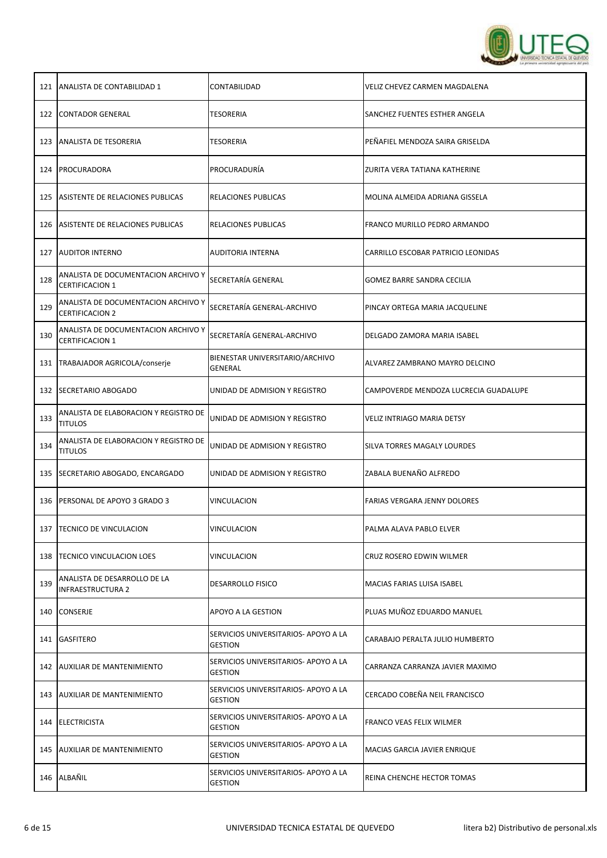

|     | 121   ANALISTA DE CONTABILIDAD 1                              | CONTABILIDAD                                           | VELIZ CHEVEZ CARMEN MAGDALENA         |
|-----|---------------------------------------------------------------|--------------------------------------------------------|---------------------------------------|
| 122 | CONTADOR GENERAL                                              | <b>TESORERIA</b>                                       | SANCHEZ FUENTES ESTHER ANGELA         |
|     | 123   ANALISTA DE TESORERIA                                   | TESORERIA                                              | PEÑAFIEL MENDOZA SAIRA GRISELDA       |
| 124 | PROCURADORA                                                   | PROCURADURIA                                           | ZURITA VERA TATIANA KATHERINE         |
|     | 125 ASISTENTE DE RELACIONES PUBLICAS                          | RELACIONES PUBLICAS                                    | MOLINA ALMEIDA ADRIANA GISSELA        |
|     | 126 ASISTENTE DE RELACIONES PUBLICAS                          | RELACIONES PUBLICAS                                    | FRANCO MURILLO PEDRO ARMANDO          |
|     | 127   AUDITOR INTERNO                                         | AUDITORIA INTERNA                                      | CARRILLO ESCOBAR PATRICIO LEONIDAS    |
| 128 | ANALISTA DE DOCUMENTACION ARCHIVO Y<br><b>CERTIFICACION 1</b> | SECRETARÍA GENERAL                                     | GOMEZ BARRE SANDRA CECILIA            |
| 129 | ANALISTA DE DOCUMENTACION ARCHIVO Y<br><b>CERTIFICACION 2</b> | SECRETARÍA GENERAL-ARCHIVO                             | PINCAY ORTEGA MARIA JACQUELINE        |
| 130 | ANALISTA DE DOCUMENTACION ARCHIVO Y<br><b>CERTIFICACION 1</b> | SECRETARÍA GENERAL-ARCHIVO                             | DELGADO ZAMORA MARIA ISABEL           |
| 131 | TRABAJADOR AGRICOLA/conserje                                  | BIENESTAR UNIVERSITARIO/ARCHIVO<br>GENERAL             | ALVAREZ ZAMBRANO MAYRO DELCINO        |
|     | 132   SECRETARIO ABOGADO                                      | UNIDAD DE ADMISION Y REGISTRO                          | CAMPOVERDE MENDOZA LUCRECIA GUADALUPE |
| 133 | ANALISTA DE ELABORACION Y REGISTRO DE<br><b>TITULOS</b>       | UNIDAD DE ADMISION Y REGISTRO                          | VELIZ INTRIAGO MARIA DETSY            |
| 134 | ANALISTA DE ELABORACION Y REGISTRO DE<br><b>TITULOS</b>       | UNIDAD DE ADMISION Y REGISTRO                          | SILVA TORRES MAGALY LOURDES           |
|     | 135   SECRETARIO ABOGADO, ENCARGADO                           | UNIDAD DE ADMISION Y REGISTRO                          | ZABALA BUENAÑO ALFREDO                |
|     | 136 PERSONAL DE APOYO 3 GRADO 3                               | <b>VINCULACION</b>                                     | FARIAS VERGARA JENNY DOLORES          |
|     | 137   TECNICO DE VINCULACION                                  | VINCULACION                                            | PALMA ALAVA PABLO ELVER               |
|     | 138   TECNICO VINCULACION LOES                                | <b>VINCULACION</b>                                     | CRUZ ROSERO EDWIN WILMER              |
| 139 | ANALISTA DE DESARROLLO DE LA<br><b>INFRAESTRUCTURA 2</b>      | <b>DESARROLLO FISICO</b>                               | MACIAS FARIAS LUISA ISABEL            |
|     | 140 CONSERJE                                                  | APOYO A LA GESTION                                     | PLUAS MUÑOZ EDUARDO MANUEL            |
|     | 141 GASFITERO                                                 | SERVICIOS UNIVERSITARIOS- APOYO A LA<br><b>GESTION</b> | CARABAJO PERALTA JULIO HUMBERTO       |
|     | 142   AUXILIAR DE MANTENIMIENTO                               | SERVICIOS UNIVERSITARIOS- APOYO A LA<br><b>GESTION</b> | CARRANZA CARRANZA JAVIER MAXIMO       |
|     | 143   AUXILIAR DE MANTENIMIENTO                               | SERVICIOS UNIVERSITARIOS- APOYO A LA<br><b>GESTION</b> | CERCADO COBEÑA NEIL FRANCISCO         |
|     | 144 ELECTRICISTA                                              | SERVICIOS UNIVERSITARIOS- APOYO A LA<br><b>GESTION</b> | FRANCO VEAS FELIX WILMER              |
|     | 145   AUXILIAR DE MANTENIMIENTO                               | SERVICIOS UNIVERSITARIOS- APOYO A LA<br><b>GESTION</b> | MACIAS GARCIA JAVIER ENRIQUE          |
|     | 146 ALBAÑIL                                                   | SERVICIOS UNIVERSITARIOS- APOYO A LA<br><b>GESTION</b> | REINA CHENCHE HECTOR TOMAS            |
|     |                                                               |                                                        |                                       |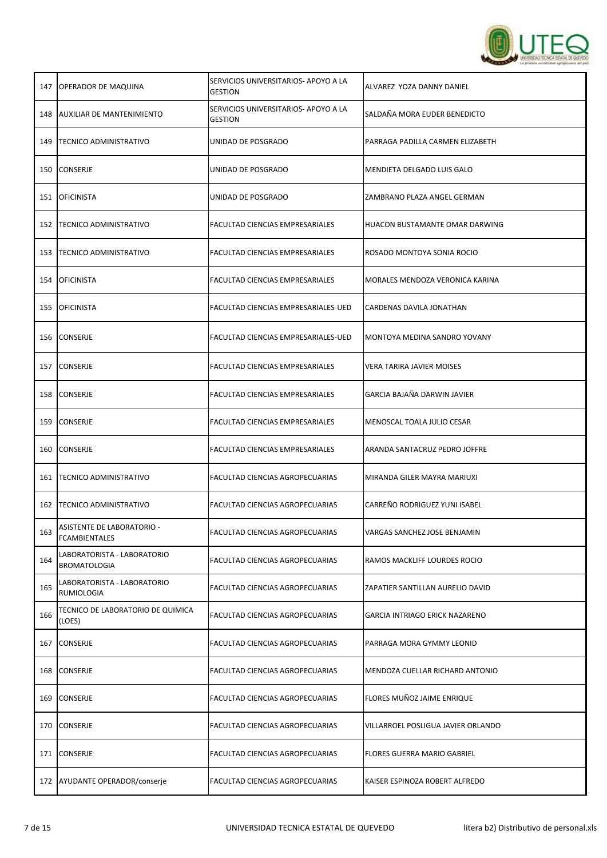

| 147 | <b>OPERADOR DE MAQUINA</b>                         | SERVICIOS UNIVERSITARIOS- APOYO A LA<br><b>GESTION</b> | ALVAREZ YOZA DANNY DANIEL          |
|-----|----------------------------------------------------|--------------------------------------------------------|------------------------------------|
| 148 | AUXILIAR DE MANTENIMIENTO                          | SERVICIOS UNIVERSITARIOS- APOYO A LA<br><b>GESTION</b> | SALDAÑA MORA EUDER BENEDICTO       |
|     | 149   TECNICO ADMINISTRATIVO                       | UNIDAD DE POSGRADO                                     | PARRAGA PADILLA CARMEN ELIZABETH   |
| 150 | <b>CONSERJE</b>                                    | UNIDAD DE POSGRADO                                     | MENDIETA DELGADO LUIS GALO         |
|     | 151 OFICINISTA                                     | UNIDAD DE POSGRADO                                     | ZAMBRANO PLAZA ANGEL GERMAN        |
| 152 | <b>TECNICO ADMINISTRATIVO</b>                      | FACULTAD CIENCIAS EMPRESARIALES                        | HUACON BUSTAMANTE OMAR DARWING     |
|     | 153   TECNICO ADMINISTRATIVO                       | FACULTAD CIENCIAS EMPRESARIALES                        | ROSADO MONTOYA SONIA ROCIO         |
| 154 | <b>OFICINISTA</b>                                  | FACULTAD CIENCIAS EMPRESARIALES                        | MORALES MENDOZA VERONICA KARINA    |
| 155 | <b>OFICINISTA</b>                                  | FACULTAD CIENCIAS EMPRESARIALES-UED                    | CARDENAS DAVILA JONATHAN           |
| 156 | <b>CONSERJE</b>                                    | FACULTAD CIENCIAS EMPRESARIALES-UED                    | MONTOYA MEDINA SANDRO YOVANY       |
| 157 | <b>CONSERJE</b>                                    | FACULTAD CIENCIAS EMPRESARIALES                        | <b>VERA TARIRA JAVIER MOISES</b>   |
| 158 | <b>CONSERJE</b>                                    | FACULTAD CIENCIAS EMPRESARIALES                        | GARCIA BAJAÑA DARWIN JAVIER        |
| 159 | <b>CONSERJE</b>                                    | FACULTAD CIENCIAS EMPRESARIALES                        | MENOSCAL TOALA JULIO CESAR         |
| 160 | <b>CONSERJE</b>                                    | FACULTAD CIENCIAS EMPRESARIALES                        | ARANDA SANTACRUZ PEDRO JOFFRE      |
|     | 161   TECNICO ADMINISTRATIVO                       | <b>FACULTAD CIENCIAS AGROPECUARIAS</b>                 | MIRANDA GILER MAYRA MARIUXI        |
|     | 162   TECNICO ADMINISTRATIVO                       | FACULTAD CIENCIAS AGROPECUARIAS                        | CARREÑO RODRIGUEZ YUNI ISABEL      |
| 163 | ASISTENTE DE LABORATORIO -<br><b>FCAMBIENTALES</b> | FACULTAD CIENCIAS AGROPECUARIAS                        | VARGAS SANCHEZ JOSE BENJAMIN       |
| 164 | LABORATORISTA - LABORATORIO<br><b>BROMATOLOGIA</b> | FACULTAD CIENCIAS AGROPECUARIAS                        | RAMOS MACKLIFF LOURDES ROCIO       |
| 165 | LABORATORISTA - LABORATORIO<br><b>RUMIOLOGIA</b>   | FACULTAD CIENCIAS AGROPECUARIAS                        | ZAPATIER SANTILLAN AURELIO DAVID   |
| 166 | TECNICO DE LABORATORIO DE QUIMICA<br>(LOES)        | FACULTAD CIENCIAS AGROPECUARIAS                        | GARCIA INTRIAGO ERICK NAZARENO     |
| 167 | <b>CONSERJE</b>                                    | FACULTAD CIENCIAS AGROPECUARIAS                        | PARRAGA MORA GYMMY LEONID          |
| 168 | CONSERJE                                           | FACULTAD CIENCIAS AGROPECUARIAS                        | MENDOZA CUELLAR RICHARD ANTONIO    |
| 169 | <b>CONSERJE</b>                                    | FACULTAD CIENCIAS AGROPECUARIAS                        | FLORES MUÑOZ JAIME ENRIQUE         |
| 170 | CONSERJE                                           | FACULTAD CIENCIAS AGROPECUARIAS                        | VILLARROEL POSLIGUA JAVIER ORLANDO |
| 171 | <b>CONSERJE</b>                                    | FACULTAD CIENCIAS AGROPECUARIAS                        | FLORES GUERRA MARIO GABRIEL        |
|     | 172 AYUDANTE OPERADOR/conserje                     | FACULTAD CIENCIAS AGROPECUARIAS                        | KAISER ESPINOZA ROBERT ALFREDO     |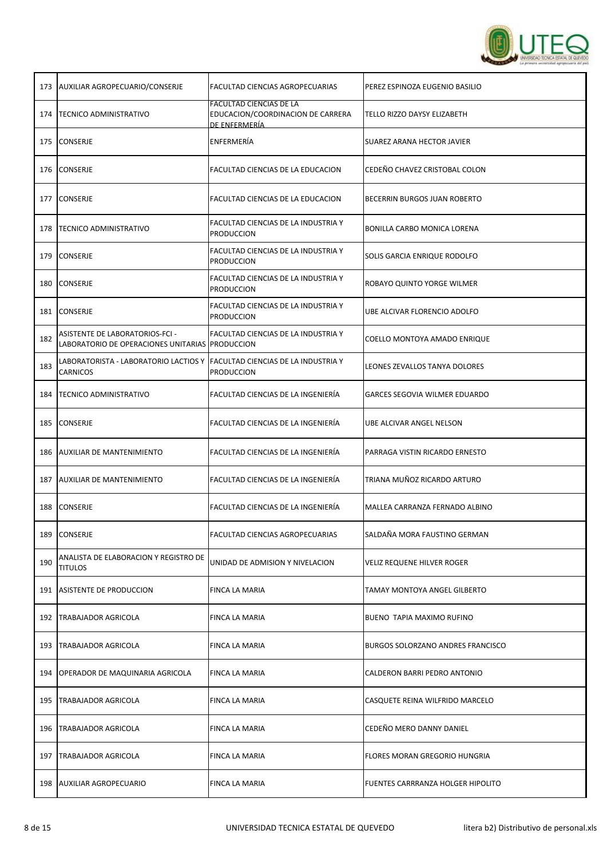

| 173 | AUXILIAR AGROPECUARIO/CONSERJE                                                         | FACULTAD CIENCIAS AGROPECUARIAS                                                      | PEREZ ESPINOZA EUGENIO BASILIO    |
|-----|----------------------------------------------------------------------------------------|--------------------------------------------------------------------------------------|-----------------------------------|
| 174 | <b>TECNICO ADMINISTRATIVO</b>                                                          | <b>FACULTAD CIENCIAS DE LA</b><br>EDUCACION/COORDINACION DE CARRERA<br>DE ENFERMERÍA | TELLO RIZZO DAYSY ELIZABETH       |
| 175 | <b>CONSERJE</b>                                                                        | ENFERMERÍA                                                                           | SUAREZ ARANA HECTOR JAVIER        |
| 176 | CONSERJE                                                                               | FACULTAD CIENCIAS DE LA EDUCACION                                                    | CEDEÑO CHAVEZ CRISTOBAL COLON     |
| 177 | CONSERJE                                                                               | FACULTAD CIENCIAS DE LA EDUCACION                                                    | BECERRIN BURGOS JUAN ROBERTO      |
| 178 | <b>TECNICO ADMINISTRATIVO</b>                                                          | FACULTAD CIENCIAS DE LA INDUSTRIA Y<br><b>PRODUCCION</b>                             | BONILLA CARBO MONICA LORENA       |
| 179 | <b>CONSERJE</b>                                                                        | FACULTAD CIENCIAS DE LA INDUSTRIA Y<br><b>PRODUCCION</b>                             | SOLIS GARCIA ENRIQUE RODOLFO      |
| 180 | CONSERJE                                                                               | FACULTAD CIENCIAS DE LA INDUSTRIA Y<br><b>PRODUCCION</b>                             | ROBAYO QUINTO YORGE WILMER        |
| 181 | <b>CONSERJE</b>                                                                        | FACULTAD CIENCIAS DE LA INDUSTRIA Y<br><b>PRODUCCION</b>                             | UBE ALCIVAR FLORENCIO ADOLFO      |
| 182 | ASISTENTE DE LABORATORIOS-FCI -<br>LABORATORIO DE OPERACIONES UNITARIAS PRODUCCION     | FACULTAD CIENCIAS DE LA INDUSTRIA Y                                                  | COELLO MONTOYA AMADO ENRIQUE      |
| 183 | LABORATORISTA - LABORATORIO LACTIOS Y  FACULTAD CIENCIAS DE LA INDUSTRIA Y<br>CARNICOS | <b>PRODUCCION</b>                                                                    | LEONES ZEVALLOS TANYA DOLORES     |
| 184 | <b>TECNICO ADMINISTRATIVO</b>                                                          | FACULTAD CIENCIAS DE LA INGENIERÍA                                                   | GARCES SEGOVIA WILMER EDUARDO     |
| 185 | <b>CONSERJE</b>                                                                        | FACULTAD CIENCIAS DE LA INGENIERÍA                                                   | UBE ALCIVAR ANGEL NELSON          |
| 186 | <b>AUXILIAR DE MANTENIMIENTO</b>                                                       | FACULTAD CIENCIAS DE LA INGENIERÍA                                                   | PARRAGA VISTIN RICARDO ERNESTO    |
| 187 | <b>AUXILIAR DE MANTENIMIENTO</b>                                                       | FACULTAD CIENCIAS DE LA INGENIERÍA                                                   | TRIANA MUÑOZ RICARDO ARTURO       |
| 188 | <b>CONSERJE</b>                                                                        | FACULTAD CIENCIAS DE LA INGENIERÍA                                                   | MALLEA CARRANZA FERNADO ALBINO    |
|     | 189 CONSERJE                                                                           | FACULTAD CIENCIAS AGROPECUARIAS                                                      | SALDAÑA MORA FAUSTINO GERMAN      |
| 190 | ANALISTA DE ELABORACION Y REGISTRO DE<br><b>TITULOS</b>                                | UNIDAD DE ADMISION Y NIVELACION                                                      | VELIZ REQUENE HILVER ROGER        |
|     | 191 ASISTENTE DE PRODUCCION                                                            | FINCA LA MARIA                                                                       | TAMAY MONTOYA ANGEL GILBERTO      |
|     | 192   TRABAJADOR AGRICOLA                                                              | FINCA LA MARIA                                                                       | BUENO TAPIA MAXIMO RUFINO         |
| 193 | TRABAJADOR AGRICOLA                                                                    | FINCA LA MARIA                                                                       | BURGOS SOLORZANO ANDRES FRANCISCO |
| 194 | OPERADOR DE MAQUINARIA AGRICOLA                                                        | FINCA LA MARIA                                                                       | CALDERON BARRI PEDRO ANTONIO      |
| 195 | TRABAJADOR AGRICOLA                                                                    | FINCA LA MARIA                                                                       | CASQUETE REINA WILFRIDO MARCELO   |
|     | 196   TRABAJADOR AGRICOLA                                                              | FINCA LA MARIA                                                                       | CEDEÑO MERO DANNY DANIEL          |
| 197 | TRABAJADOR AGRICOLA                                                                    | FINCA LA MARIA                                                                       | FLORES MORAN GREGORIO HUNGRIA     |
|     | 198 AUXILIAR AGROPECUARIO                                                              | FINCA LA MARIA                                                                       | FUENTES CARRRANZA HOLGER HIPOLITO |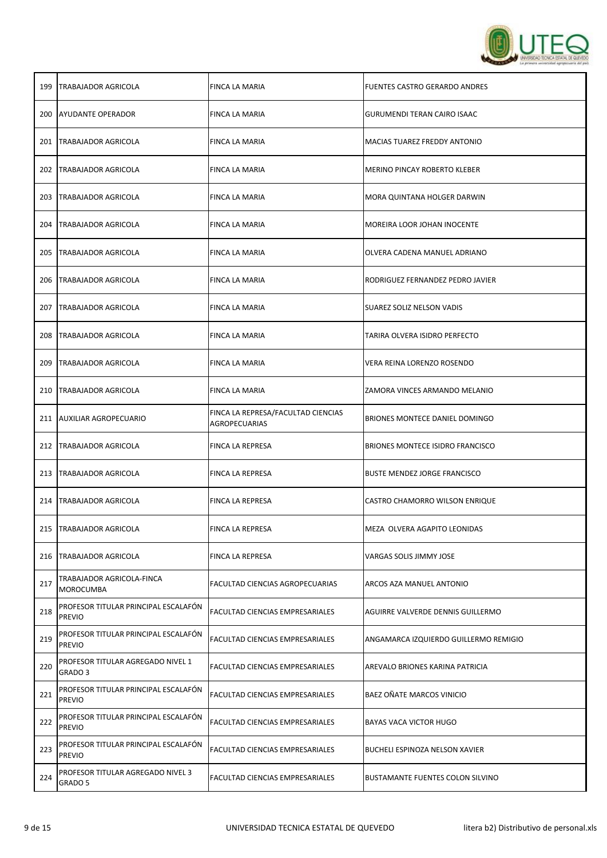

| 199 | TRABAJADOR AGRICOLA                                   | FINCA LA MARIA                                      | FUENTES CASTRO GERARDO ANDRES           |
|-----|-------------------------------------------------------|-----------------------------------------------------|-----------------------------------------|
| 200 | AYUDANTE OPERADOR                                     | FINCA LA MARIA                                      | <b>GURUMENDI TERAN CAIRO ISAAC</b>      |
| 201 | <b>TRABAJADOR AGRICOLA</b>                            | FINCA LA MARIA                                      | MACIAS TUAREZ FREDDY ANTONIO            |
| 202 | TRABAJADOR AGRICOLA                                   | FINCA LA MARIA                                      | MERINO PINCAY ROBERTO KLEBER            |
| 203 | TRABAJADOR AGRICOLA                                   | FINCA LA MARIA                                      | MORA QUINTANA HOLGER DARWIN             |
| 204 | TRABAJADOR AGRICOLA                                   | FINCA LA MARIA                                      | MOREIRA LOOR JOHAN INOCENTE             |
| 205 | <b>TRABAJADOR AGRICOLA</b>                            | FINCA LA MARIA                                      | OLVERA CADENA MANUEL ADRIANO            |
| 206 | <b>TRABAJADOR AGRICOLA</b>                            | FINCA LA MARIA                                      | RODRIGUEZ FERNANDEZ PEDRO JAVIER        |
| 207 | TRABAJADOR AGRICOLA                                   | FINCA LA MARIA                                      | SUAREZ SOLIZ NELSON VADIS               |
| 208 | TRABAJADOR AGRICOLA                                   | FINCA LA MARIA                                      | TARIRA OLVERA ISIDRO PERFECTO           |
| 209 | <b>TRABAJADOR AGRICOLA</b>                            | FINCA LA MARIA                                      | VERA REINA LORENZO ROSENDO              |
| 210 | <b>TRABAJADOR AGRICOLA</b>                            | FINCA LA MARIA                                      | ZAMORA VINCES ARMANDO MELANIO           |
|     | 211 AUXILIAR AGROPECUARIO                             | FINCA LA REPRESA/FACULTAD CIENCIAS<br>AGROPECUARIAS | BRIONES MONTECE DANIEL DOMINGO          |
| 212 | TRABAJADOR AGRICOLA                                   | FINCA LA REPRESA                                    | BRIONES MONTECE ISIDRO FRANCISCO        |
|     | 213   TRABAJADOR AGRICOLA                             | FINCA LA REPRESA                                    | <b>BUSTE MENDEZ JORGE FRANCISCO</b>     |
|     | 214   TRABAJADOR AGRICOLA                             | FINCA LA REPRESA                                    | CASTRO CHAMORRO WILSON ENRIQUE          |
|     | 215   TRABAJADOR AGRICOLA                             | <b>FINCA LA REPRESA</b>                             | MEZA OLVERA AGAPITO LEONIDAS            |
| 216 | <b>TRABAJADOR AGRICOLA</b>                            | <b>FINCA LA REPRESA</b>                             | VARGAS SOLIS JIMMY JOSE                 |
| 217 | TRABAJADOR AGRICOLA-FINCA<br><b>MOROCUMBA</b>         | FACULTAD CIENCIAS AGROPECUARIAS                     | ARCOS AZA MANUEL ANTONIO                |
| 218 | PROFESOR TITULAR PRINCIPAL ESCALAFÓN<br><b>PREVIO</b> | FACULTAD CIENCIAS EMPRESARIALES                     | AGUIRRE VALVERDE DENNIS GUILLERMO       |
| 219 | PROFESOR TITULAR PRINCIPAL ESCALAFÓN<br><b>PREVIO</b> | FACULTAD CIENCIAS EMPRESARIALES                     | ANGAMARCA IZQUIERDO GUILLERMO REMIGIO   |
| 220 | PROFESOR TITULAR AGREGADO NIVEL 1<br>GRADO 3          | FACULTAD CIENCIAS EMPRESARIALES                     | AREVALO BRIONES KARINA PATRICIA         |
| 221 | PROFESOR TITULAR PRINCIPAL ESCALAFÓN<br><b>PREVIO</b> | FACULTAD CIENCIAS EMPRESARIALES                     | BAEZ OÑATE MARCOS VINICIO               |
| 222 | PROFESOR TITULAR PRINCIPAL ESCALAFON<br><b>PREVIO</b> | FACULTAD CIENCIAS EMPRESARIALES                     | <b>BAYAS VACA VICTOR HUGO</b>           |
| 223 | PROFESOR TITULAR PRINCIPAL ESCALAFON<br><b>PREVIO</b> | FACULTAD CIENCIAS EMPRESARIALES                     | BUCHELI ESPINOZA NELSON XAVIER          |
| 224 | PROFESOR TITULAR AGREGADO NIVEL 3<br>GRADO 5          | FACULTAD CIENCIAS EMPRESARIALES                     | <b>BUSTAMANTE FUENTES COLON SILVINO</b> |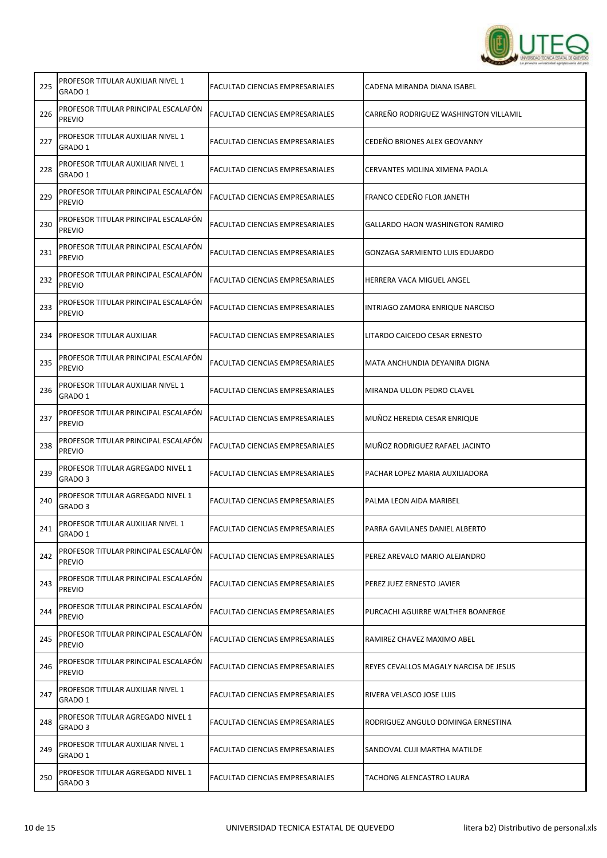

| 225 | PROFESOR TITULAR AUXILIAR NIVEL 1<br>GRADO 1          | FACULTAD CIENCIAS EMPRESARIALES        | CADENA MIRANDA DIANA ISABEL            |
|-----|-------------------------------------------------------|----------------------------------------|----------------------------------------|
| 226 | PROFESOR TITULAR PRINCIPAL ESCALAFÓN<br><b>PREVIO</b> | FACULTAD CIENCIAS EMPRESARIALES        | CARREÑO RODRIGUEZ WASHINGTON VILLAMIL  |
| 227 | PROFESOR TITULAR AUXILIAR NIVEL 1<br>GRADO 1          | FACULTAD CIENCIAS EMPRESARIALES        | CEDEÑO BRIONES ALEX GEOVANNY           |
| 228 | PROFESOR TITULAR AUXILIAR NIVEL 1<br>GRADO 1          | FACULTAD CIENCIAS EMPRESARIALES        | CERVANTES MOLINA XIMENA PAOLA          |
| 229 | PROFESOR TITULAR PRINCIPAL ESCALAFON<br><b>PREVIO</b> | FACULTAD CIENCIAS EMPRESARIALES        | FRANCO CEDEÑO FLOR JANETH              |
| 230 | PROFESOR TITULAR PRINCIPAL ESCALAFÓN<br><b>PREVIO</b> | FACULTAD CIENCIAS EMPRESARIALES        | GALLARDO HAON WASHINGTON RAMIRO        |
| 231 | PROFESOR TITULAR PRINCIPAL ESCALAFON<br><b>PREVIO</b> | FACULTAD CIENCIAS EMPRESARIALES        | GONZAGA SARMIENTO LUIS EDUARDO         |
| 232 | PROFESOR TITULAR PRINCIPAL ESCALAFÓN<br><b>PREVIO</b> | FACULTAD CIENCIAS EMPRESARIALES        | HERRERA VACA MIGUEL ANGEL              |
| 233 | PROFESOR TITULAR PRINCIPAL ESCALAFON<br><b>PREVIO</b> | FACULTAD CIENCIAS EMPRESARIALES        | INTRIAGO ZAMORA ENRIQUE NARCISO        |
| 234 | PROFESOR TITULAR AUXILIAR                             | FACULTAD CIENCIAS EMPRESARIALES        | LITARDO CAICEDO CESAR ERNESTO          |
| 235 | PROFESOR TITULAR PRINCIPAL ESCALAFÓN<br><b>PREVIO</b> | FACULTAD CIENCIAS EMPRESARIALES        | MATA ANCHUNDIA DEYANIRA DIGNA          |
| 236 | PROFESOR TITULAR AUXILIAR NIVEL 1<br>GRADO 1          | FACULTAD CIENCIAS EMPRESARIALES        | MIRANDA ULLON PEDRO CLAVEL             |
| 237 | PROFESOR TITULAR PRINCIPAL ESCALAFÓN<br><b>PREVIO</b> | FACULTAD CIENCIAS EMPRESARIALES        | MUÑOZ HEREDIA CESAR ENRIQUE            |
| 238 | PROFESOR TITULAR PRINCIPAL ESCALAFÓN<br><b>PREVIO</b> | FACULTAD CIENCIAS EMPRESARIALES        | MUÑOZ RODRIGUEZ RAFAEL JACINTO         |
| 239 | PROFESOR TITULAR AGREGADO NIVEL 1<br>GRADO 3          | FACULTAD CIENCIAS EMPRESARIALES        | PACHAR LOPEZ MARIA AUXILIADORA         |
| 240 | PROFESOR TITULAR AGREGADO NIVEL 1<br>GRADO 3          | FACULTAD CIENCIAS EMPRESARIALES        | PALMA LEON AIDA MARIBEL                |
| 241 | PROFESOR TITULAR AUXILIAR NIVEL 1<br>GRADO 1          | FACULTAD CIENCIAS EMPRESARIALES        | PARRA GAVILANES DANIEL ALBERTO         |
| 242 | PROFESOR TITULAR PRINCIPAL ESCALAFÓN<br><b>PREVIO</b> | FACULTAD CIENCIAS EMPRESARIALES        | PEREZ AREVALO MARIO ALEJANDRO          |
| 243 | PROFESOR TITULAR PRINCIPAL ESCALAFÓN<br><b>PREVIO</b> | FACULTAD CIENCIAS EMPRESARIALES        | PEREZ JUEZ ERNESTO JAVIER              |
| 244 | PROFESOR TITULAR PRINCIPAL ESCALAFON<br><b>PREVIO</b> | FACULTAD CIENCIAS EMPRESARIALES        | PURCACHI AGUIRRE WALTHER BOANERGE      |
| 245 | PROFESOR TITULAR PRINCIPAL ESCALAFÓN<br><b>PREVIO</b> | FACULTAD CIENCIAS EMPRESARIALES        | RAMIREZ CHAVEZ MAXIMO ABEL             |
| 246 | PROFESOR TITULAR PRINCIPAL ESCALAFÓN<br><b>PREVIO</b> | FACULTAD CIENCIAS EMPRESARIALES        | REYES CEVALLOS MAGALY NARCISA DE JESUS |
| 247 | PROFESOR TITULAR AUXILIAR NIVEL 1<br>GRADO 1          | FACULTAD CIENCIAS EMPRESARIALES        | RIVERA VELASCO JOSE LUIS               |
| 248 | PROFESOR TITULAR AGREGADO NIVEL 1<br>GRADO 3          | FACULTAD CIENCIAS EMPRESARIALES        | RODRIGUEZ ANGULO DOMINGA ERNESTINA     |
| 249 | PROFESOR TITULAR AUXILIAR NIVEL 1<br>GRADO 1          | FACULTAD CIENCIAS EMPRESARIALES        | SANDOVAL CUJI MARTHA MATILDE           |
| 250 | PROFESOR TITULAR AGREGADO NIVEL 1<br>GRADO 3          | <b>FACULTAD CIENCIAS EMPRESARIALES</b> | TACHONG ALENCASTRO LAURA               |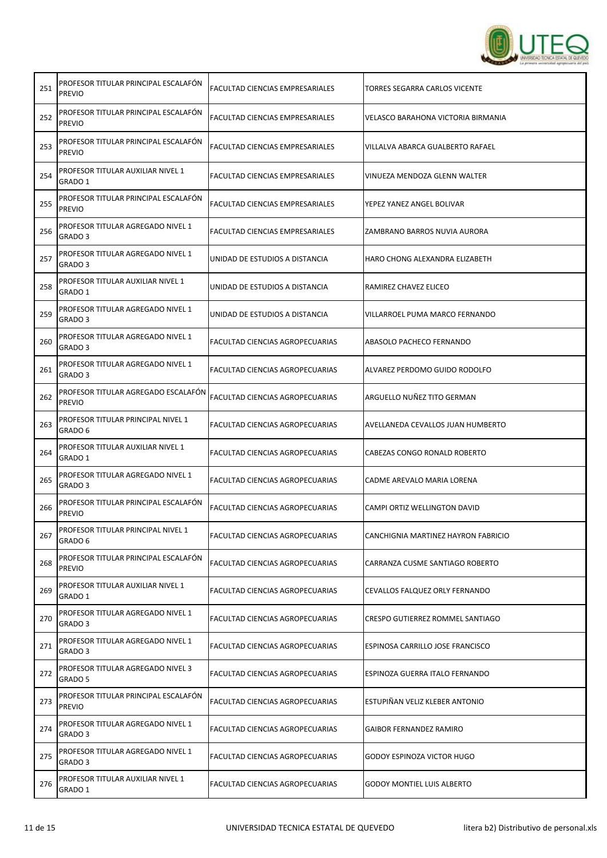

| 251 | PROFESOR TITULAR PRINCIPAL ESCALAFÓN<br><b>PREVIO</b>   | FACULTAD CIENCIAS EMPRESARIALES | TORRES SEGARRA CARLOS VICENTE       |
|-----|---------------------------------------------------------|---------------------------------|-------------------------------------|
| 252 | PROFESOR TITULAR PRINCIPAL ESCALAFÓN<br><b>PREVIO</b>   | FACULTAD CIENCIAS EMPRESARIALES | VELASCO BARAHONA VICTORIA BIRMANIA  |
| 253 | PROFESOR TITULAR PRINCIPAL ESCALAFÓN<br><b>PREVIO</b>   | FACULTAD CIENCIAS EMPRESARIALES | VILLALVA ABARCA GUALBERTO RAFAEL    |
| 254 | PROFESOR TITULAR AUXILIAR NIVEL 1<br>GRADO 1            | FACULTAD CIENCIAS EMPRESARIALES | VINUEZA MENDOZA GLENN WALTER        |
| 255 | PROFESOR TITULAR PRINCIPAL ESCALAFON<br><b>PREVIO</b>   | FACULTAD CIENCIAS EMPRESARIALES | YEPEZ YANEZ ANGEL BOLIVAR           |
| 256 | PROFESOR TITULAR AGREGADO NIVEL 1<br>GRADO 3            | FACULTAD CIENCIAS EMPRESARIALES | ZAMBRANO BARROS NUVIA AURORA        |
| 257 | PROFESOR TITULAR AGREGADO NIVEL 1<br>GRADO 3            | UNIDAD DE ESTUDIOS A DISTANCIA  | HARO CHONG ALEXANDRA ELIZABETH      |
| 258 | PROFESOR TITULAR AUXILIAR NIVEL 1<br>GRADO 1            | UNIDAD DE ESTUDIOS A DISTANCIA  | RAMIREZ CHAVEZ ELICEO               |
| 259 | PROFESOR TITULAR AGREGADO NIVEL 1<br>GRADO 3            | UNIDAD DE ESTUDIOS A DISTANCIA  | VILLARROEL PUMA MARCO FERNANDO      |
| 260 | PROFESOR TITULAR AGREGADO NIVEL 1<br>GRADO <sub>3</sub> | FACULTAD CIENCIAS AGROPECUARIAS | ABASOLO PACHECO FERNANDO            |
| 261 | PROFESOR TITULAR AGREGADO NIVEL 1<br>GRADO 3            | FACULTAD CIENCIAS AGROPECUARIAS | ALVAREZ PERDOMO GUIDO RODOLFO       |
| 262 | PROFESOR TITULAR AGREGADO ESCALAFÓN<br><b>PREVIO</b>    | FACULTAD CIENCIAS AGROPECUARIAS | ARGUELLO NUÑEZ TITO GERMAN          |
| 263 | PROFESOR TITULAR PRINCIPAL NIVEL 1<br>GRADO 6           | FACULTAD CIENCIAS AGROPECUARIAS | AVELLANEDA CEVALLOS JUAN HUMBERTO   |
| 264 | PROFESOR TITULAR AUXILIAR NIVEL 1<br>GRADO 1            | FACULTAD CIENCIAS AGROPECUARIAS | CABEZAS CONGO RONALD ROBERTO        |
| 265 | PROFESOR TITULAR AGREGADO NIVEL 1<br>GRADO 3            | FACULTAD CIENCIAS AGROPECUARIAS | CADME AREVALO MARIA LORENA          |
| 266 | PROFESOR TITULAR PRINCIPAL ESCALAFON<br><b>PREVIO</b>   | FACULTAD CIENCIAS AGROPECUARIAS | CAMPI ORTIZ WELLINGTON DAVID        |
| 267 | PROFESOR TITULAR PRINCIPAL NIVEL 1<br>GRADO 6           | FACULTAD CIENCIAS AGROPECUARIAS | CANCHIGNIA MARTINEZ HAYRON FABRICIO |
| 268 | PROFESOR TITULAR PRINCIPAL ESCALAFON<br><b>PREVIO</b>   | FACULTAD CIENCIAS AGROPECUARIAS | CARRANZA CUSME SANTIAGO ROBERTO     |
| 269 | PROFESOR TITULAR AUXILIAR NIVEL 1<br>GRADO 1            | FACULTAD CIENCIAS AGROPECUARIAS | CEVALLOS FALQUEZ ORLY FERNANDO      |
| 270 | PROFESOR TITULAR AGREGADO NIVEL 1<br>GRADO 3            | FACULTAD CIENCIAS AGROPECUARIAS | CRESPO GUTIERREZ ROMMEL SANTIAGO    |
| 271 | PROFESOR TITULAR AGREGADO NIVEL 1<br>GRADO 3            | FACULTAD CIENCIAS AGROPECUARIAS | ESPINOSA CARRILLO JOSE FRANCISCO    |
| 272 | PROFESOR TITULAR AGREGADO NIVEL 3<br>GRADO 5            | FACULTAD CIENCIAS AGROPECUARIAS | ESPINOZA GUERRA ITALO FERNANDO      |
| 273 | PROFESOR TITULAR PRINCIPAL ESCALAFÓN<br><b>PREVIO</b>   | FACULTAD CIENCIAS AGROPECUARIAS | ESTUPIÑAN VELIZ KLEBER ANTONIO      |
| 274 | PROFESOR TITULAR AGREGADO NIVEL 1<br>GRADO 3            | FACULTAD CIENCIAS AGROPECUARIAS | GAIBOR FERNANDEZ RAMIRO             |
| 275 | PROFESOR TITULAR AGREGADO NIVEL 1<br>GRADO 3            | FACULTAD CIENCIAS AGROPECUARIAS | GODOY ESPINOZA VICTOR HUGO          |
| 276 | PROFESOR TITULAR AUXILIAR NIVEL 1<br>GRADO 1            | FACULTAD CIENCIAS AGROPECUARIAS | <b>GODOY MONTIEL LUIS ALBERTO</b>   |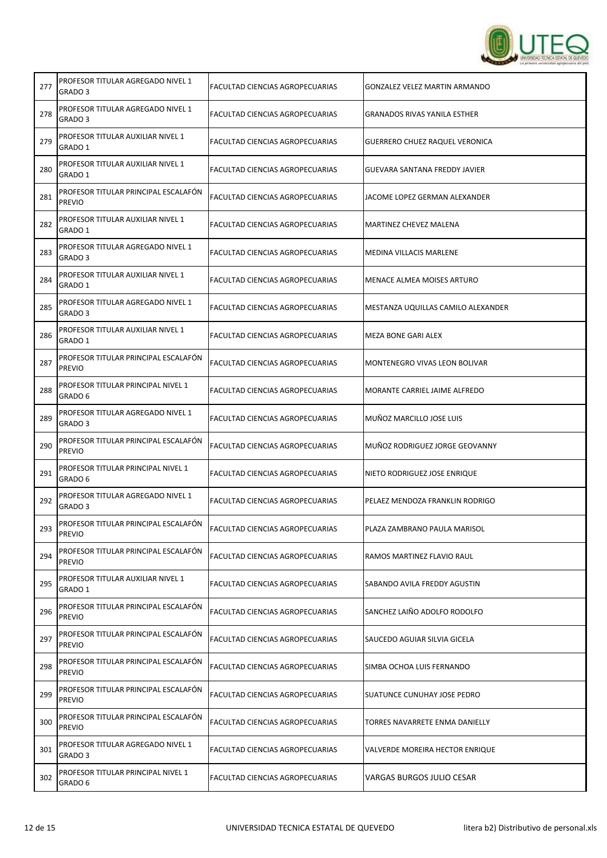

| 277 | PROFESOR TITULAR AGREGADO NIVEL 1<br>GRADO 3          | FACULTAD CIENCIAS AGROPECUARIAS | GONZALEZ VELEZ MARTIN ARMANDO       |
|-----|-------------------------------------------------------|---------------------------------|-------------------------------------|
| 278 | PROFESOR TITULAR AGREGADO NIVEL 1<br>GRADO 3          | FACULTAD CIENCIAS AGROPECUARIAS | <b>GRANADOS RIVAS YANILA ESTHER</b> |
| 279 | PROFESOR TITULAR AUXILIAR NIVEL 1<br>GRADO 1          | FACULTAD CIENCIAS AGROPECUARIAS | GUERRERO CHUEZ RAQUEL VERONICA      |
| 280 | PROFESOR TITULAR AUXILIAR NIVEL 1<br>GRADO 1          | FACULTAD CIENCIAS AGROPECUARIAS | GUEVARA SANTANA FREDDY JAVIER       |
| 281 | PROFESOR TITULAR PRINCIPAL ESCALAFON<br><b>PREVIO</b> | FACULTAD CIENCIAS AGROPECUARIAS | JACOME LOPEZ GERMAN ALEXANDER       |
| 282 | PROFESOR TITULAR AUXILIAR NIVEL 1<br>GRADO 1          | FACULTAD CIENCIAS AGROPECUARIAS | MARTINEZ CHEVEZ MALENA              |
| 283 | PROFESOR TITULAR AGREGADO NIVEL 1<br>GRADO 3          | FACULTAD CIENCIAS AGROPECUARIAS | MEDINA VILLACIS MARLENE             |
| 284 | PROFESOR TITULAR AUXILIAR NIVEL 1<br>GRADO 1          | FACULTAD CIENCIAS AGROPECUARIAS | MENACE ALMEA MOISES ARTURO          |
| 285 | PROFESOR TITULAR AGREGADO NIVEL 1<br>GRADO 3          | FACULTAD CIENCIAS AGROPECUARIAS | MESTANZA UQUILLAS CAMILO ALEXANDER  |
| 286 | PROFESOR TITULAR AUXILIAR NIVEL 1<br>GRADO 1          | FACULTAD CIENCIAS AGROPECUARIAS | <b>MEZA BONE GARI ALEX</b>          |
| 287 | PROFESOR TITULAR PRINCIPAL ESCALAFÓN<br><b>PREVIO</b> | FACULTAD CIENCIAS AGROPECUARIAS | MONTENEGRO VIVAS LEON BOLIVAR       |
| 288 | PROFESOR TITULAR PRINCIPAL NIVEL 1<br>GRADO 6         | FACULTAD CIENCIAS AGROPECUARIAS | MORANTE CARRIEL JAIME ALFREDO       |
| 289 | PROFESOR TITULAR AGREGADO NIVEL 1<br>GRADO 3          | FACULTAD CIENCIAS AGROPECUARIAS | MUÑOZ MARCILLO JOSE LUIS            |
| 290 | PROFESOR TITULAR PRINCIPAL ESCALAFON<br><b>PREVIO</b> | FACULTAD CIENCIAS AGROPECUARIAS | MUÑOZ RODRIGUEZ JORGE GEOVANNY      |
| 291 | PROFESOR TITULAR PRINCIPAL NIVEL 1<br>GRADO 6         | FACULTAD CIENCIAS AGROPECUARIAS | NIETO RODRIGUEZ JOSE ENRIQUE        |
| 292 | PROFESOR TITULAR AGREGADO NIVEL 1<br>GRADO 3          | FACULTAD CIENCIAS AGROPECUARIAS | PELAEZ MENDOZA FRANKLIN RODRIGO     |
| 293 | PROFESOR TITULAR PRINCIPAL ESCALAFON<br>PREVIO        | FACULTAD CIENCIAS AGROPECUARIAS | PLAZA ZAMBRANO PAULA MARISOL        |
| 294 | PROFESOR TITULAR PRINCIPAL ESCALAFON<br><b>PREVIO</b> | FACULTAD CIENCIAS AGROPECUARIAS | RAMOS MARTINEZ FLAVIO RAUL          |
| 295 | PROFESOR TITULAR AUXILIAR NIVEL 1<br>GRADO 1          | FACULTAD CIENCIAS AGROPECUARIAS | SABANDO AVILA FREDDY AGUSTIN        |
| 296 | PROFESOR TITULAR PRINCIPAL ESCALAFON<br><b>PREVIO</b> | FACULTAD CIENCIAS AGROPECUARIAS | SANCHEZ LAIÑO ADOLFO RODOLFO        |
| 297 | PROFESOR TITULAR PRINCIPAL ESCALAFÓN<br><b>PREVIO</b> | FACULTAD CIENCIAS AGROPECUARIAS | SAUCEDO AGUIAR SILVIA GICELA        |
| 298 | PROFESOR TITULAR PRINCIPAL ESCALAFÓN<br><b>PREVIO</b> | FACULTAD CIENCIAS AGROPECUARIAS | SIMBA OCHOA LUIS FERNANDO           |
| 299 | PROFESOR TITULAR PRINCIPAL ESCALAFÓN<br><b>PREVIO</b> | FACULTAD CIENCIAS AGROPECUARIAS | SUATUNCE CUNUHAY JOSE PEDRO         |
| 300 | PROFESOR TITULAR PRINCIPAL ESCALAFON<br><b>PREVIO</b> | FACULTAD CIENCIAS AGROPECUARIAS | TORRES NAVARRETE ENMA DANIELLY      |
| 301 | PROFESOR TITULAR AGREGADO NIVEL 1<br>GRADO 3          | FACULTAD CIENCIAS AGROPECUARIAS | VALVERDE MOREIRA HECTOR ENRIQUE     |
| 302 | PROFESOR TITULAR PRINCIPAL NIVEL 1<br>GRADO 6         | FACULTAD CIENCIAS AGROPECUARIAS | VARGAS BURGOS JULIO CESAR           |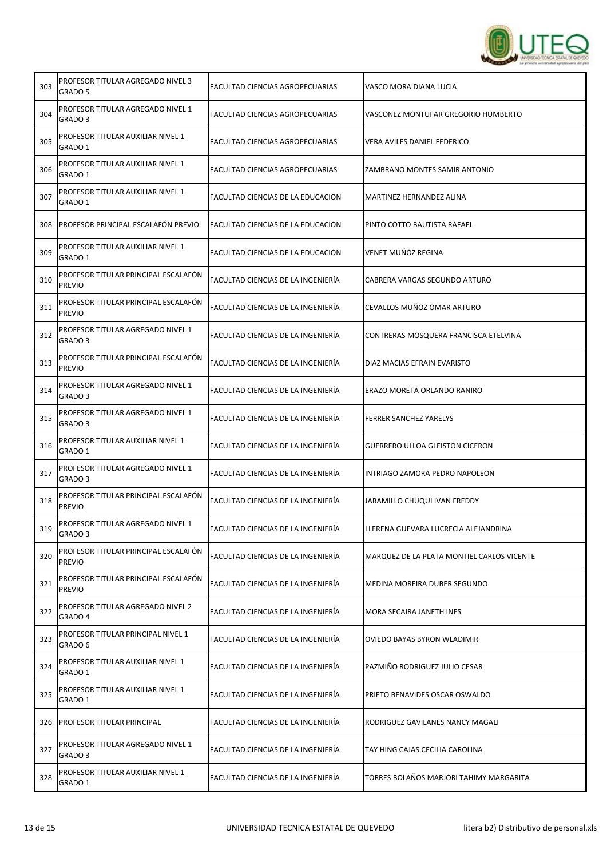

| 303 | PROFESOR TITULAR AGREGADO NIVEL 3<br>GRADO 5          | FACULTAD CIENCIAS AGROPECUARIAS    | VASCO MORA DIANA LUCIA                     |
|-----|-------------------------------------------------------|------------------------------------|--------------------------------------------|
| 304 | PROFESOR TITULAR AGREGADO NIVEL 1<br>GRADO 3          | FACULTAD CIENCIAS AGROPECUARIAS    | VASCONEZ MONTUFAR GREGORIO HUMBERTO        |
| 305 | PROFESOR TITULAR AUXILIAR NIVEL 1<br>GRADO 1          | FACULTAD CIENCIAS AGROPECUARIAS    | VERA AVILES DANIEL FEDERICO                |
| 306 | PROFESOR TITULAR AUXILIAR NIVEL 1<br>GRADO 1          | FACULTAD CIENCIAS AGROPECUARIAS    | ZAMBRANO MONTES SAMIR ANTONIO              |
| 307 | PROFESOR TITULAR AUXILIAR NIVEL 1<br>GRADO 1          | FACULTAD CIENCIAS DE LA EDUCACION  | MARTINEZ HERNANDEZ ALINA                   |
| 308 | <b>PROFESOR PRINCIPAL ESCALAFÓN PREVIO</b>            | FACULTAD CIENCIAS DE LA EDUCACION  | PINTO COTTO BAUTISTA RAFAEL                |
| 309 | PROFESOR TITULAR AUXILIAR NIVEL 1<br>GRADO 1          | FACULTAD CIENCIAS DE LA EDUCACION  | VENET MUÑOZ REGINA                         |
| 310 | PROFESOR TITULAR PRINCIPAL ESCALAFÓN<br><b>PREVIO</b> | FACULTAD CIENCIAS DE LA INGENIERÍA | CABRERA VARGAS SEGUNDO ARTURO              |
| 311 | PROFESOR TITULAR PRINCIPAL ESCALAFÓN<br><b>PREVIO</b> | FACULTAD CIENCIAS DE LA INGENIERÍA | CEVALLOS MUÑOZ OMAR ARTURO                 |
| 312 | PROFESOR TITULAR AGREGADO NIVEL 1<br>GRADO 3          | FACULTAD CIENCIAS DE LA INGENIERÍA | CONTRERAS MOSQUERA FRANCISCA ETELVINA      |
| 313 | PROFESOR TITULAR PRINCIPAL ESCALAFÓN<br><b>PREVIO</b> | FACULTAD CIENCIAS DE LA INGENIERÍA | DIAZ MACIAS EFRAIN EVARISTO                |
| 314 | PROFESOR TITULAR AGREGADO NIVEL 1<br>GRADO 3          | FACULTAD CIENCIAS DE LA INGENIERÍA | ERAZO MORETA ORLANDO RANIRO                |
| 315 | PROFESOR TITULAR AGREGADO NIVEL 1<br>GRADO 3          | FACULTAD CIENCIAS DE LA INGENIERÍA | <b>FERRER SANCHEZ YARELYS</b>              |
| 316 | PROFESOR TITULAR AUXILIAR NIVEL 1<br>GRADO 1          | FACULTAD CIENCIAS DE LA INGENIERÍA | GUERRERO ULLOA GLEISTON CICERON            |
| 317 | PROFESOR TITULAR AGREGADO NIVEL 1<br>GRADO 3          | FACULTAD CIENCIAS DE LA INGENIERÍA | INTRIAGO ZAMORA PEDRO NAPOLEON             |
| 318 | PROFESOR TITULAR PRINCIPAL ESCALAFÓN<br><b>PREVIO</b> | FACULTAD CIENCIAS DE LA INGENIERÍA | JARAMILLO CHUQUI IVAN FREDDY               |
| 319 | PROFESOR TITULAR AGREGADO NIVEL 1<br>GRADO 3          | FACULTAD CIENCIAS DE LA INGENIERIA | LLERENA GUEVARA LUCRECIA ALEJANDRINA       |
| 320 | PROFESOR TITULAR PRINCIPAL ESCALAFÓN<br><b>PREVIO</b> | FACULTAD CIENCIAS DE LA INGENIERÍA | MARQUEZ DE LA PLATA MONTIEL CARLOS VICENTE |
| 321 | PROFESOR TITULAR PRINCIPAL ESCALAFON<br><b>PREVIO</b> | FACULTAD CIENCIAS DE LA INGENIERÍA | MEDINA MOREIRA DUBER SEGUNDO               |
| 322 | PROFESOR TITULAR AGREGADO NIVEL 2<br>GRADO 4          | FACULTAD CIENCIAS DE LA INGENIERÍA | MORA SECAIRA JANETH INES                   |
| 323 | PROFESOR TITULAR PRINCIPAL NIVEL 1<br>GRADO 6         | FACULTAD CIENCIAS DE LA INGENIERÍA | OVIEDO BAYAS BYRON WLADIMIR                |
| 324 | PROFESOR TITULAR AUXILIAR NIVEL 1<br>GRADO 1          | FACULTAD CIENCIAS DE LA INGENIERÍA | PAZMIÑO RODRIGUEZ JULIO CESAR              |
| 325 | PROFESOR TITULAR AUXILIAR NIVEL 1<br>GRADO 1          | FACULTAD CIENCIAS DE LA INGENIERÍA | PRIETO BENAVIDES OSCAR OSWALDO             |
| 326 | PROFESOR TITULAR PRINCIPAL                            | FACULTAD CIENCIAS DE LA INGENIERÍA | RODRIGUEZ GAVILANES NANCY MAGALI           |
| 327 | PROFESOR TITULAR AGREGADO NIVEL 1<br>GRADO 3          | FACULTAD CIENCIAS DE LA INGENIERÍA | TAY HING CAJAS CECILIA CAROLINA            |
| 328 | PROFESOR TITULAR AUXILIAR NIVEL 1<br>GRADO 1          | FACULTAD CIENCIAS DE LA INGENIERÍA | TORRES BOLAÑOS MARJORI TAHIMY MARGARITA    |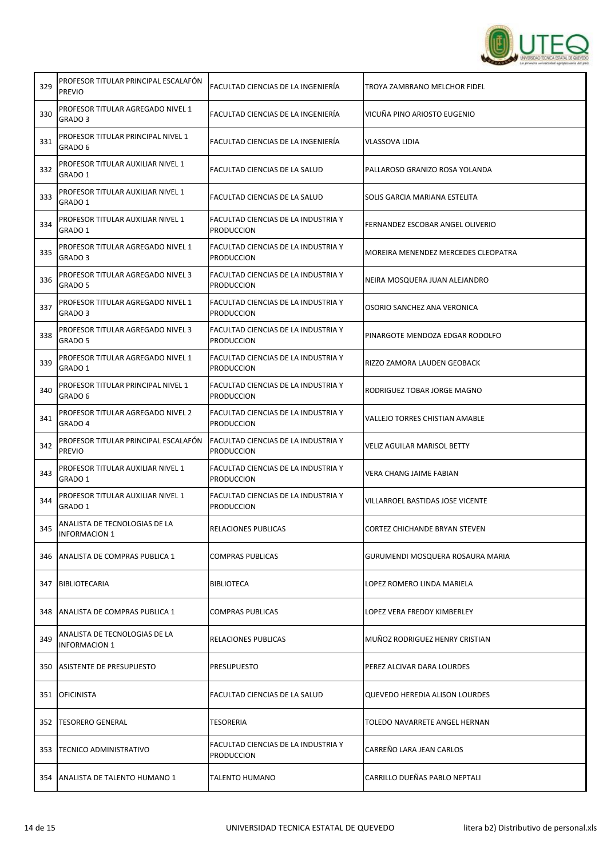

| 329 | PROFESOR TITULAR PRINCIPAL ESCALAFON<br><b>PREVIO</b>   | FACULTAD CIENCIAS DE LA INGENIERÍA                       | TROYA ZAMBRANO MELCHOR FIDEL          |
|-----|---------------------------------------------------------|----------------------------------------------------------|---------------------------------------|
| 330 | PROFESOR TITULAR AGREGADO NIVEL 1<br>GRADO <sub>3</sub> | FACULTAD CIENCIAS DE LA INGENIERÍA                       | VICUÑA PINO ARIOSTO EUGENIO           |
| 331 | PROFESOR TITULAR PRINCIPAL NIVEL 1<br>GRADO 6           | FACULTAD CIENCIAS DE LA INGENIERÍA                       | VLASSOVA LIDIA                        |
| 332 | PROFESOR TITULAR AUXILIAR NIVEL 1<br>GRADO 1            | FACULTAD CIENCIAS DE LA SALUD                            | PALLAROSO GRANIZO ROSA YOLANDA        |
| 333 | PROFESOR TITULAR AUXILIAR NIVEL 1<br>GRADO 1            | FACULTAD CIENCIAS DE LA SALUD                            | SOLIS GARCIA MARIANA ESTELITA         |
| 334 | PROFESOR TITULAR AUXILIAR NIVEL 1<br>GRADO 1            | FACULTAD CIENCIAS DE LA INDUSTRIA Y<br>PRODUCCION        | FERNANDEZ ESCOBAR ANGEL OLIVERIO      |
| 335 | PROFESOR TITULAR AGREGADO NIVEL 1<br>GRADO 3            | FACULTAD CIENCIAS DE LA INDUSTRIA Y<br>Produccion        | MOREIRA MENENDEZ MERCEDES CLEOPATRA   |
| 336 | PROFESOR TITULAR AGREGADO NIVEL 3<br>GRADO 5            | FACULTAD CIENCIAS DE LA INDUSTRIA Y<br>PRODUCCION        | NEIRA MOSQUERA JUAN ALEJANDRO         |
| 337 | PROFESOR TITULAR AGREGADO NIVEL 1<br>GRADO 3            | FACULTAD CIENCIAS DE LA INDUSTRIA Y<br><b>PRODUCCION</b> | OSORIO SANCHEZ ANA VERONICA           |
| 338 | PROFESOR TITULAR AGREGADO NIVEL 3<br>GRADO 5            | FACULTAD CIENCIAS DE LA INDUSTRIA Y<br>PRODUCCION        | PINARGOTE MENDOZA EDGAR RODOLFO       |
| 339 | PROFESOR TITULAR AGREGADO NIVEL 1<br>GRADO 1            | FACULTAD CIENCIAS DE LA INDUSTRIA Y<br><b>PRODUCCION</b> | RIZZO ZAMORA LAUDEN GEOBACK           |
| 340 | PROFESOR TITULAR PRINCIPAL NIVEL 1<br>GRADO 6           | FACULTAD CIENCIAS DE LA INDUSTRIA Y<br>PRODUCCION        | RODRIGUEZ TOBAR JORGE MAGNO           |
| 341 | PROFESOR TITULAR AGREGADO NIVEL 2<br>GRADO 4            | FACULTAD CIENCIAS DE LA INDUSTRIA Y<br><b>PRODUCCION</b> | <b>VALLEJO TORRES CHISTIAN AMABLE</b> |
| 342 | PROFESOR TITULAR PRINCIPAL ESCALAFON<br><b>PREVIO</b>   | FACULTAD CIENCIAS DE LA INDUSTRIA Y<br><b>PRODUCCION</b> | <b>VELIZ AGUILAR MARISOL BETTY</b>    |
| 343 | PROFESOR TITULAR AUXILIAR NIVEL 1<br>GRADO 1            | FACULTAD CIENCIAS DE LA INDUSTRIA Y<br><b>PRODUCCION</b> | VERA CHANG JAIME FABIAN               |
| 344 | PROFESOR TITULAR AUXILIAR NIVEL 1<br>GRADO 1            | FACULTAD CIENCIAS DE LA INDUSTRIA Y<br>PRODUCCION        | VILLARROEL BASTIDAS JOSE VICENTE      |
| 345 | ANALISTA DE TECNOLOGIAS DE LA<br>INFORMACION 1          | RELACIONES PUBLICAS                                      | CORTEZ CHICHANDE BRYAN STEVEN         |
|     | 346   ANALISTA DE COMPRAS PUBLICA 1                     | COMPRAS PUBLICAS                                         | GURUMENDI MOSQUERA ROSAURA MARIA      |
| 347 | <b>BIBLIOTECARIA</b>                                    | BIBLIOTECA                                               | LOPEZ ROMERO LINDA MARIELA            |
|     | 348   ANALISTA DE COMPRAS PUBLICA 1                     | COMPRAS PUBLICAS                                         | LOPEZ VERA FREDDY KIMBERLEY           |
| 349 | ANALISTA DE TECNOLOGIAS DE LA<br><b>INFORMACION 1</b>   | RELACIONES PUBLICAS                                      | MUÑOZ RODRIGUEZ HENRY CRISTIAN        |
|     | 350 ASISTENTE DE PRESUPUESTO                            | PRESUPUESTO                                              | PEREZ ALCIVAR DARA LOURDES            |
| 351 | <b>OFICINISTA</b>                                       | FACULTAD CIENCIAS DE LA SALUD                            | QUEVEDO HEREDIA ALISON LOURDES        |
|     | 352 TESORERO GENERAL                                    | TESORERIA                                                | TOLEDO NAVARRETE ANGEL HERNAN         |
| 353 | <b>TECNICO ADMINISTRATIVO</b>                           | FACULTAD CIENCIAS DE LA INDUSTRIA Y<br>PRODUCCION        | CARREÑO LARA JEAN CARLOS              |
|     | 354   ANALISTA DE TALENTO HUMANO 1                      | <b>TALENTO HUMANO</b>                                    | CARRILLO DUEÑAS PABLO NEPTALI         |